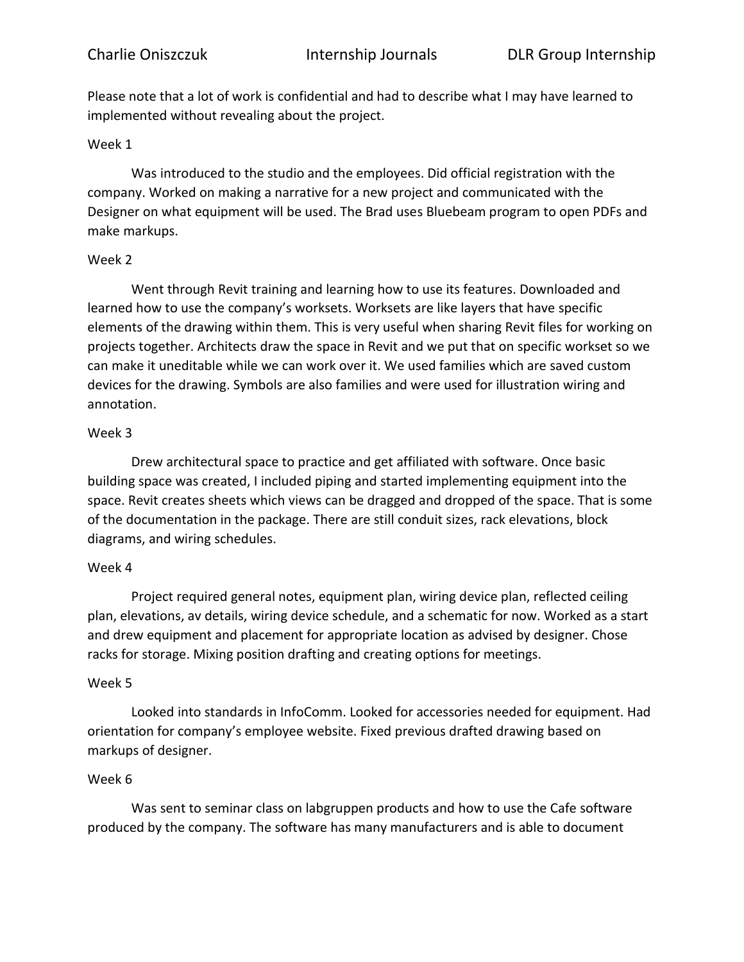Please note that a lot of work is confidential and had to describe what I may have learned to implemented without revealing about the project.

## Week 1

Was introduced to the studio and the employees. Did official registration with the company. Worked on making a narrative for a new project and communicated with the Designer on what equipment will be used. The Brad uses Bluebeam program to open PDFs and make markups.

## Week 2

Went through Revit training and learning how to use its features. Downloaded and learned how to use the company's worksets. Worksets are like layers that have specific elements of the drawing within them. This is very useful when sharing Revit files for working on projects together. Architects draw the space in Revit and we put that on specific workset so we can make it uneditable while we can work over it. We used families which are saved custom devices for the drawing. Symbols are also families and were used for illustration wiring and annotation.

## Week 3

Drew architectural space to practice and get affiliated with software. Once basic building space was created, I included piping and started implementing equipment into the space. Revit creates sheets which views can be dragged and dropped of the space. That is some of the documentation in the package. There are still conduit sizes, rack elevations, block diagrams, and wiring schedules.

# Week 4

Project required general notes, equipment plan, wiring device plan, reflected ceiling plan, elevations, av details, wiring device schedule, and a schematic for now. Worked as a start and drew equipment and placement for appropriate location as advised by designer. Chose racks for storage. Mixing position drafting and creating options for meetings.

#### Week 5

Looked into standards in InfoComm. Looked for accessories needed for equipment. Had orientation for company's employee website. Fixed previous drafted drawing based on markups of designer.

# Week 6

Was sent to seminar class on labgruppen products and how to use the Cafe software produced by the company. The software has many manufacturers and is able to document